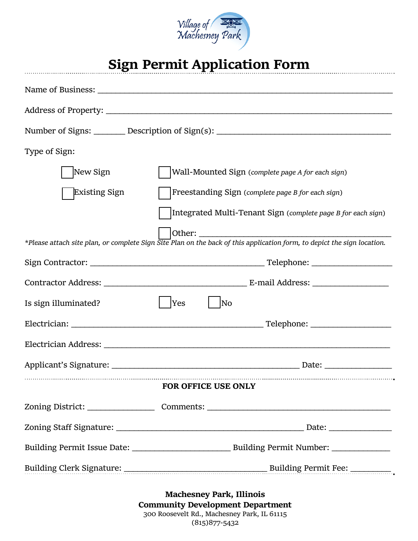

## **Sign Permit Application Form**

|                            | Number of Signs: ________ Description of Sign(s): ______________________________                                        |
|----------------------------|-------------------------------------------------------------------------------------------------------------------------|
| Type of Sign:              |                                                                                                                         |
| New Sign                   | Wall-Mounted Sign (complete page A for each sign)                                                                       |
| Existing Sign              | Freestanding Sign (complete page B for each sign)                                                                       |
|                            | Integrated Multi-Tenant Sign (complete page B for each sign)                                                            |
|                            |                                                                                                                         |
|                            | *Please attach site plan, or complete Sign Site Plan on the back of this application form, to depict the sign location. |
|                            |                                                                                                                         |
|                            |                                                                                                                         |
| Is sign illuminated?       | <b>Yes</b><br>$\overline{\rm No}$                                                                                       |
|                            |                                                                                                                         |
|                            |                                                                                                                         |
|                            | Applicant's Signature: <u>New York: Date:</u> Date: Date:                                                               |
| <b>FOR OFFICE USE ONLY</b> |                                                                                                                         |
|                            |                                                                                                                         |
|                            |                                                                                                                         |
|                            |                                                                                                                         |
|                            |                                                                                                                         |
|                            | <b>Machesney Park, Illinois</b>                                                                                         |

**Community Development Department** 300 Roosevelt Rd., Machesney Park, IL 61115 (815)877‐5432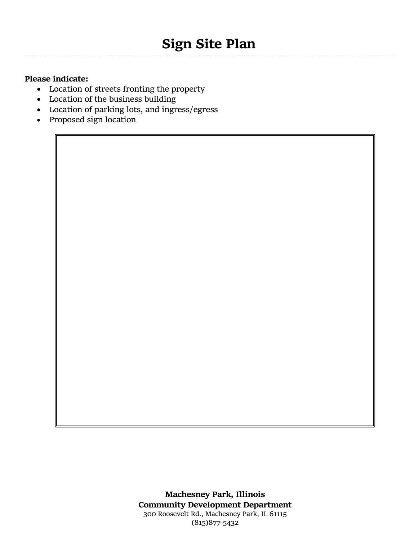## **Please indicate:**

- Location of streets fronting the property
- Location of the business building
- Location of parking lots, and ingress/egress
- Proposed sign location

**Machesney Park, Illinois Community Development Department** 300 Roosevelt Rd., Machesney Park, IL 61115 (815)877‐5432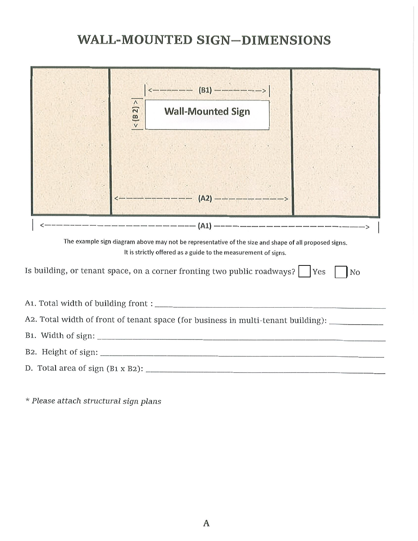## **WALL-MOUNTED SIGN-DIMENSIONS**

|                                                                                                                                                                         | $ \leftarrow $ ------- (B1) --------><br>$\Lambda$<br>$\overline{z}$<br><b>Wall-Mounted Sign</b><br>$\frac{1}{2}$ |  |
|-------------------------------------------------------------------------------------------------------------------------------------------------------------------------|-------------------------------------------------------------------------------------------------------------------|--|
|                                                                                                                                                                         |                                                                                                                   |  |
| The example sign diagram above may not be representative of the size and shape of all proposed signs.<br>It is strictly offered as a guide to the measurement of signs. |                                                                                                                   |  |
| Is building, or tenant space, on a corner fronting two public roadways?   Yes<br>No                                                                                     |                                                                                                                   |  |
|                                                                                                                                                                         |                                                                                                                   |  |
|                                                                                                                                                                         | A2. Total width of front of tenant space (for business in multi-tenant building): _________________               |  |
|                                                                                                                                                                         |                                                                                                                   |  |
|                                                                                                                                                                         |                                                                                                                   |  |
|                                                                                                                                                                         |                                                                                                                   |  |

\* Please attach structural sign plans